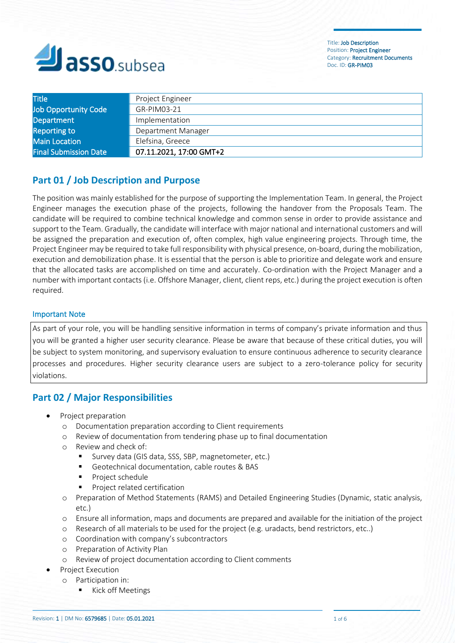

| <b>Title</b>                 | Project Engineer        |
|------------------------------|-------------------------|
| Job Opportunity Code         | GR-PIM03-21             |
| <b>Department</b>            | Implementation          |
| <b>Reporting to</b>          | Department Manager      |
| <b>Main Location</b>         | Elefsina, Greece        |
| <b>Final Submission Date</b> | 07.11.2021, 17:00 GMT+2 |

# **Part 01 / Job Description and Purpose**

The position was mainly established for the purpose of supporting the Implementation Team. In general, the Project Engineer manages the execution phase of the projects, following the handover from the Proposals Team. The candidate will be required to combine technical knowledge and common sense in order to provide assistance and support to the Team. Gradually, the candidate will interface with major national and international customers and will be assigned the preparation and execution of, often complex, high value engineering projects. Through time, the Project Engineer may be required to take full responsibility with physical presence, on-board, during the mobilization, execution and demobilization phase. It is essential that the person is able to prioritize and delegate work and ensure that the allocated tasks are accomplished on time and accurately. Co-ordination with the Project Manager and a number with important contacts (i.e. Offshore Manager, client, client reps, etc.) during the project execution is often required.

#### Important Note

As part of your role, you will be handling sensitive information in terms of company's private information and thus you will be granted a higher user security clearance. Please be aware that because of these critical duties, you will be subject to system monitoring, and supervisory evaluation to ensure continuous adherence to security clearance processes and procedures. Higher security clearance users are subject to a zero-tolerance policy for security violations.

# **Part 02 / Major Responsibilities**

- Project preparation
	- o Documentation preparation according to Client requirements
	- o Review of documentation from tendering phase up to final documentation
	- o Review and check of:
		- Survey data (GIS data, SSS, SBP, magnetometer, etc.)
		- Geotechnical documentation, cable routes & BAS
		- Project schedule
		- Project related certification
	- o Preparation of Method Statements (RAMS) and Detailed Engineering Studies (Dynamic, static analysis, etc.)
	- o Ensure all information, maps and documents are prepared and available for the initiation of the project
	- o Research of all materials to be used for the project (e.g. uradacts, bend restrictors, etc..)
	- o Coordination with company's subcontractors
	- o Preparation of Activity Plan
	- o Review of project documentation according to Client comments
- Project Execution
	- o Participation in:
		- Kick off Meetings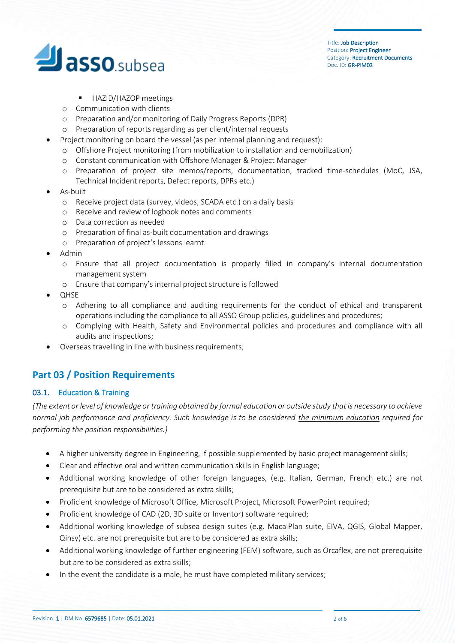

- HAZID/HAZOP meetings
- o Communication with clients
- o Preparation and/or monitoring of Daily Progress Reports (DPR)
- o Preparation of reports regarding as per client/internal requests
- Project monitoring on board the vessel (as per internal planning and request):
	- o Offshore Project monitoring (from mobilization to installation and demobilization)
	- o Constant communication with Offshore Manager & Project Manager
	- o Preparation of project site memos/reports, documentation, tracked time-schedules (MoC, JSA, Technical Incident reports, Defect reports, DPRs etc.)
- As-built
	- o Receive project data (survey, videos, SCADA etc.) on a daily basis
	- o Receive and review of logbook notes and comments
	- o Data correction as needed
	- o Preparation of final as-built documentation and drawings
	- o Preparation of project's lessons learnt
- Admin
	- o Ensure that all project documentation is properly filled in company's internal documentation management system
	- o Ensure that company's internal project structure is followed
- QHSE
	- o Adhering to all compliance and auditing requirements for the conduct of ethical and transparent operations including the compliance to all ASSO Group policies, guidelines and procedures;
	- o Complying with Health, Safety and Environmental policies and procedures and compliance with all audits and inspections;
- Overseas travelling in line with business requirements;

# **Part 03 / Position Requirements**

## 03.1. Education & Training

*(The extent or level of knowledge or training obtained by formal education or outside study that is necessary to achieve normal job performance and proficiency. Such knowledge is to be considered the minimum education required for performing the position responsibilities.)*

- A higher university degree in Engineering, if possible supplemented by basic project management skills;
- Clear and effective oral and written communication skills in English language;
- Additional working knowledge of other foreign languages, (e.g. Italian, German, French etc.) are not prerequisite but are to be considered as extra skills;
- Proficient knowledge of Microsoft Office, Microsoft Project, Microsoft PowerPoint required;
- Proficient knowledge of CAD (2D, 3D suite or Inventor) software required;
- Additional working knowledge of subsea design suites (e.g. MacaiPlan suite, EIVA, QGIS, Global Mapper, Qinsy) etc. are not prerequisite but are to be considered as extra skills;
- Additional working knowledge of further engineering (FEM) software, such as Orcaflex, are not prerequisite but are to be considered as extra skills;
- In the event the candidate is a male, he must have completed military services;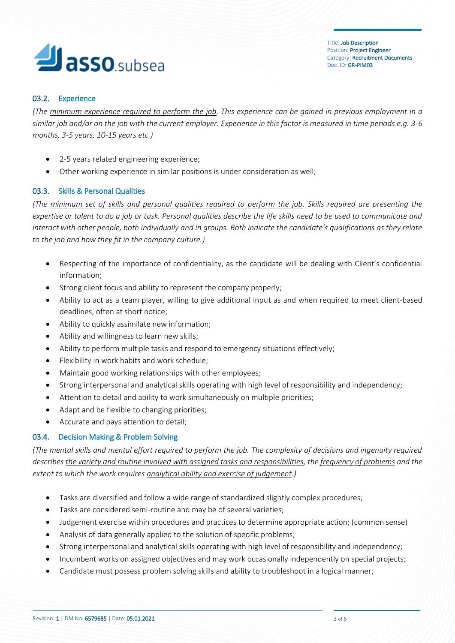# **Jasso**.subsea

## 03.2. Experience

*(The minimum experience required to perform the job. This experience can be gained in previous employment in a similar job and/or on the job with the current employer. Experience in this factor is measured in time periods e.g. 3-6 months, 3-5 years, 10-15 years etc.)*

- 2-5 years related engineering experience;
- Other working experience in similar positions is under consideration as well;

## 03.3. Skills & Personal Qualities

*(The minimum set of skills and personal qualities required to perform the job. Skills required are presenting the expertise or talent to do a job or task. Personal qualities describe the life skills need to be used to communicate and interact with other people, both individually and in groups. Both indicate the candidate's qualifications as they relate to the job and how they fit in the company culture.)*

- Respecting of the importance of confidentiality, as the candidate will be dealing with Client's confidential information;
- Strong client focus and ability to represent the company properly;
- Ability to act as a team player, willing to give additional input as and when required to meet client-based deadlines, often at short notice;
- Ability to quickly assimilate new information;
- Ability and willingness to learn new skills;
- Ability to perform multiple tasks and respond to emergency situations effectively;
- Flexibility in work habits and work schedule;
- Maintain good working relationships with other employees;
- Strong interpersonal and analytical skills operating with high level of responsibility and independency;
- Attention to detail and ability to work simultaneously on multiple priorities;
- Adapt and be flexible to changing priorities;
- Accurate and pays attention to detail;

## 03.4. Decision Making & Problem Solving

*(The mental skills and mental effort required to perform the job. The complexity of decisions and ingenuity required describes the variety and routine involved with assigned tasks and responsibilities, the frequency of problems and the extent to which the work requires analytical ability and exercise of judgement.)*

- Tasks are diversified and follow a wide range of standardized slightly complex procedures;
- Tasks are considered semi-routine and may be of several varieties;
- Judgement exercise within procedures and practices to determine appropriate action; (common sense)
- Analysis of data generally applied to the solution of specific problems;
- Strong interpersonal and analytical skills operating with high level of responsibility and independency;
- Incumbent works on assigned objectives and may work occasionally independently on special projects;
- Candidate must possess problem solving skills and ability to troubleshoot in a logical manner;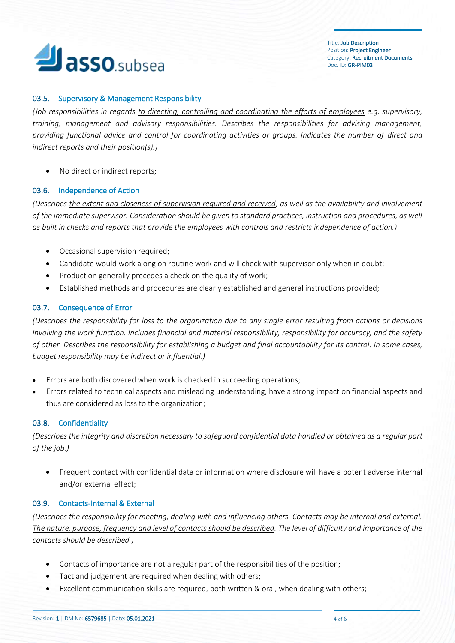

#### 03.5. Supervisory & Management Responsibility

*(Job responsibilities in regards to directing, controlling and coordinating the efforts of employees e.g. supervisory, training, management and advisory responsibilities. Describes the responsibilities for advising management, providing functional advice and control for coordinating activities or groups. Indicates the number of direct and indirect reports and their position(s).)*

• No direct or indirect reports;

#### 03.6. Independence of Action

*(Describes the extent and closeness of supervision required and received, as well as the availability and involvement of the immediate supervisor. Consideration should be given to standard practices, instruction and procedures, as well as built in checks and reports that provide the employees with controls and restricts independence of action.)*

- Occasional supervision required;
- Candidate would work along on routine work and will check with supervisor only when in doubt;
- Production generally precedes a check on the quality of work;
- Established methods and procedures are clearly established and general instructions provided;

#### 03.7. Consequence of Error

*(Describes the responsibility for loss to the organization due to any single error resulting from actions or decisions involving the work function. Includes financial and material responsibility, responsibility for accuracy, and the safety of other. Describes the responsibility for establishing a budget and final accountability for its control. In some cases, budget responsibility may be indirect or influential.)*

- Errors are both discovered when work is checked in succeeding operations;
- Errors related to technical aspects and misleading understanding, have a strong impact on financial aspects and thus are considered as loss to the organization;

#### 03.8. Confidentiality

*(Describes the integrity and discretion necessary to safeguard confidential data handled or obtained as a regular part of the job.)*

• Frequent contact with confidential data or information where disclosure will have a potent adverse internal and/or external effect;

#### 03.9. Contacts-Internal & External

*(Describes the responsibility for meeting, dealing with and influencing others. Contacts may be internal and external. The nature, purpose, frequency and level of contacts should be described. The level of difficulty and importance of the contacts should be described.)*

- Contacts of importance are not a regular part of the responsibilities of the position;
- Tact and judgement are required when dealing with others;
- Excellent communication skills are required, both written & oral, when dealing with others;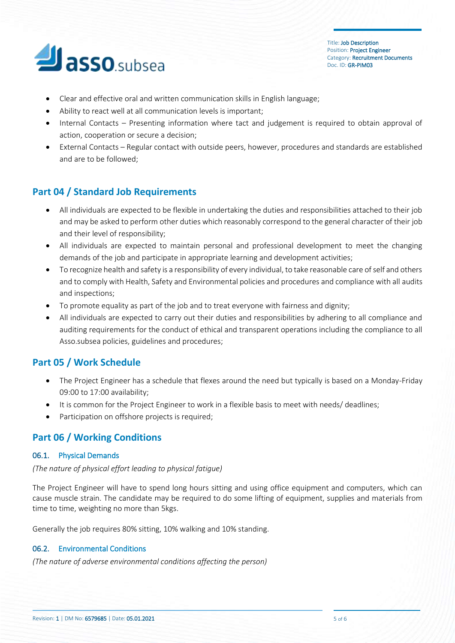# **Jasso**.subsea

Title: Job Description Position: Project Engineer Category: Recruitment Documents Doc. ID: GR-PIM03

- Clear and effective oral and written communication skills in English language;
- Ability to react well at all communication levels is important;
- Internal Contacts Presenting information where tact and judgement is required to obtain approval of action, cooperation or secure a decision;
- External Contacts Regular contact with outside peers, however, procedures and standards are established and are to be followed;

# **Part 04 / Standard Job Requirements**

- All individuals are expected to be flexible in undertaking the duties and responsibilities attached to their job and may be asked to perform other duties which reasonably correspond to the general character of their job and their level of responsibility;
- All individuals are expected to maintain personal and professional development to meet the changing demands of the job and participate in appropriate learning and development activities;
- To recognize health and safety is a responsibility of every individual, to take reasonable care of self and others and to comply with Health, Safety and Environmental policies and procedures and compliance with all audits and inspections;
- To promote equality as part of the job and to treat everyone with fairness and dignity;
- All individuals are expected to carry out their duties and responsibilities by adhering to all compliance and auditing requirements for the conduct of ethical and transparent operations including the compliance to all Asso.subsea policies, guidelines and procedures;

# **Part 05 / Work Schedule**

- The Project Engineer has a schedule that flexes around the need but typically is based on a Monday-Friday 09:00 to 17:00 availability;
- It is common for the Project Engineer to work in a flexible basis to meet with needs/ deadlines;
- Participation on offshore projects is required;

## **Part 06 / Working Conditions**

#### 06.1. Physical Demands

#### *(The nature of physical effort leading to physical fatigue)*

The Project Engineer will have to spend long hours sitting and using office equipment and computers, which can cause muscle strain. The candidate may be required to do some lifting of equipment, supplies and materials from time to time, weighting no more than 5kgs.

Generally the job requires 80% sitting, 10% walking and 10% standing.

## 06.2. Environmental Conditions

*(The nature of adverse environmental conditions affecting the person)*